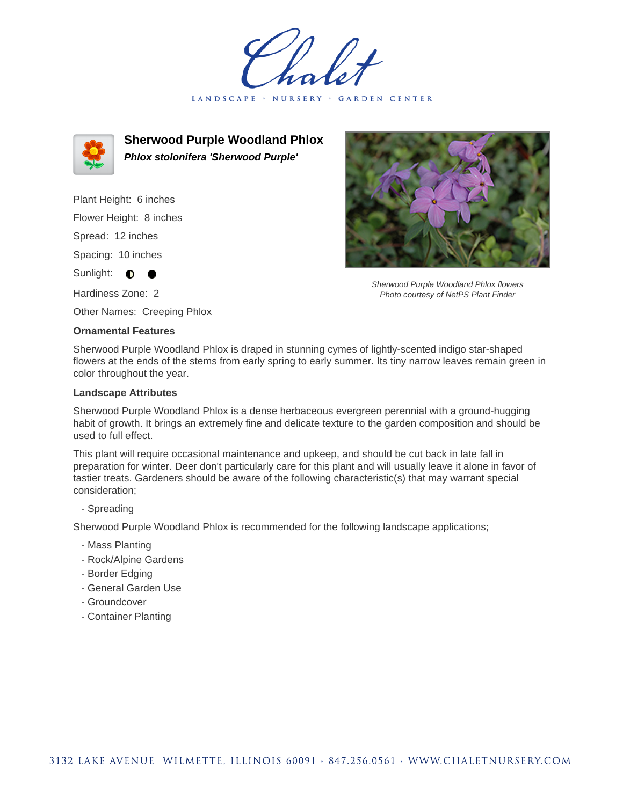LANDSCAPE · NURSERY GARDEN CENTER



**Sherwood Purple Woodland Phlox Phlox stolonifera 'Sherwood Purple'**

Plant Height: 6 inches Flower Height: 8 inches Spread: 12 inches Spacing: 10 inches Sunlight:  $\bullet$ Hardiness Zone: 2

Other Names: Creeping Phlox

## **Ornamental Features**



Sherwood Purple Woodland Phlox flowers Photo courtesy of NetPS Plant Finder

Sherwood Purple Woodland Phlox is draped in stunning cymes of lightly-scented indigo star-shaped flowers at the ends of the stems from early spring to early summer. Its tiny narrow leaves remain green in color throughout the year.

## **Landscape Attributes**

Sherwood Purple Woodland Phlox is a dense herbaceous evergreen perennial with a ground-hugging habit of growth. It brings an extremely fine and delicate texture to the garden composition and should be used to full effect.

This plant will require occasional maintenance and upkeep, and should be cut back in late fall in preparation for winter. Deer don't particularly care for this plant and will usually leave it alone in favor of tastier treats. Gardeners should be aware of the following characteristic(s) that may warrant special consideration;

- Spreading

Sherwood Purple Woodland Phlox is recommended for the following landscape applications;

- Mass Planting
- Rock/Alpine Gardens
- Border Edging
- General Garden Use
- Groundcover
- Container Planting